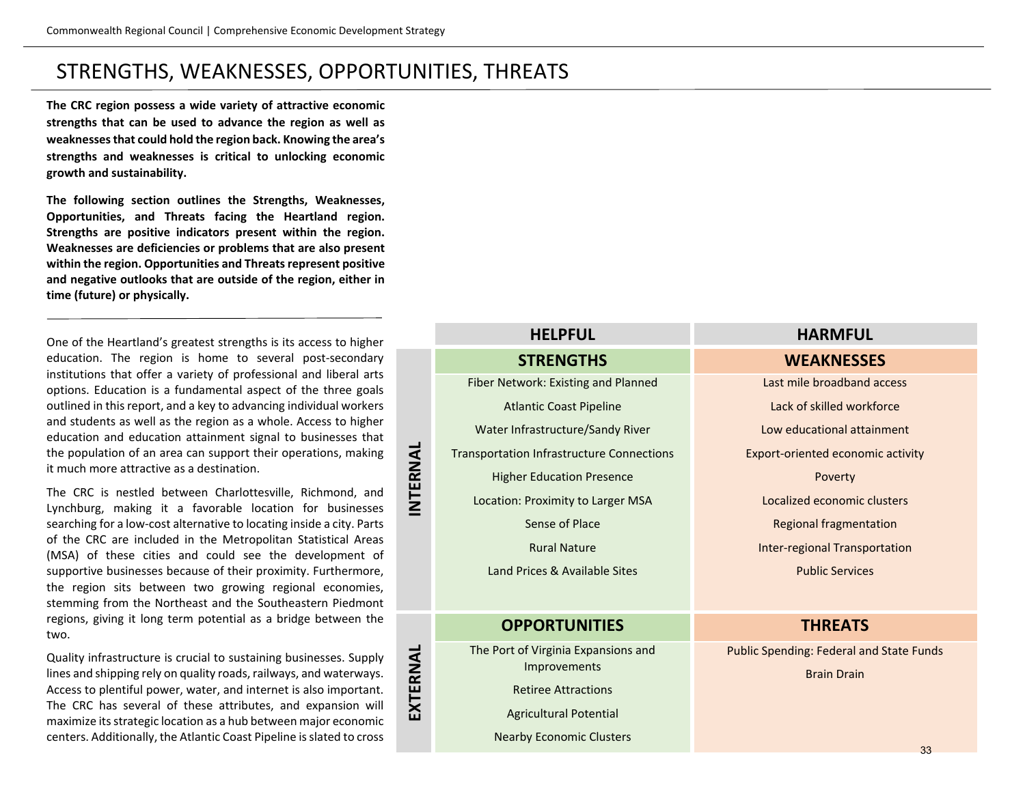**The CRC region possess a wide variety of attractive economic strengths that can be used to advance the region as well as weaknesses that could hold the region back. Knowing the area's strengths and weaknesses is critical to unlocking economic growth and sustainability.** 

**The following section outlines the Strengths, Weaknesses, Opportunities, and Threats facing the Heartland region. Strengths are positive indicators present within the region. Weaknesses are deficiencies or problems that are also present within the region. Opportunities and Threats represent positive and negative outlooks that are outside of the region, either in time (future) or physically.**

One of the Heartland's greatest strengths is its access to higher education. The region is home to several post-secondary institutions that offer a variety of professional and liberal arts options. Education is a fundamental aspect of the three goals outlined in this report, and a key to advancing individual workers and students as well as the region as a whole. Access to higher education and education attainment signal to businesses that the population of an area can support their operations, making it much more attractive as a destination.

The CRC is nestled between Charlottesville, Richmond, and Lynchburg, making it a favorable location for businesses searching for a low-cost alternative to locating inside a city. Parts of the CRC are included in the Metropolitan Statistical Areas (MSA) of these cities and could see the development of supportive businesses because of their proximity. Furthermore, the region sits between two growing regional economies, stemming from the Northeast and the Southeastern Piedmont regions, giving it long term potential as a bridge between the two.

Quality infrastructure is crucial to sustaining businesses. Supply lines and shipping rely on quality roads, railways, and waterways. Access to plentiful power, water, and internet is also important. The CRC has several of these attributes, and expansion will maximize its strategic location as a hub between major economic centers. Additionally, the Atlantic Coast Pipeline is slated to cross

#### **HELPFUL HARMFUL STRENGTHS WEAKNESSES** Fiber Network: Existing and Planned Atlantic Coast Pipeline Water Infrastructure/Sandy River Transportation Infrastructure Connections Higher Education Presence Location: Proximity to Larger MSA Sense of Place Rural Nature Land Prices & Available Sites Last mile broadband access Lack of skilled workforce Low educational attainment Export-oriented economic activity Poverty Localized economic clusters Regional fragmentation Inter-regional Transportation Public Services

#### **OPPORTUNITIES THREATS**

**INTERNAL**

INTERNAL

**EXTERNAL**

EXTERNAL

The Port of Virginia Expansions and Improvements

Retiree Attractions

Agricultural Potential

Nearby Economic Clusters

Public Spending: Federal and State Funds

Brain Drain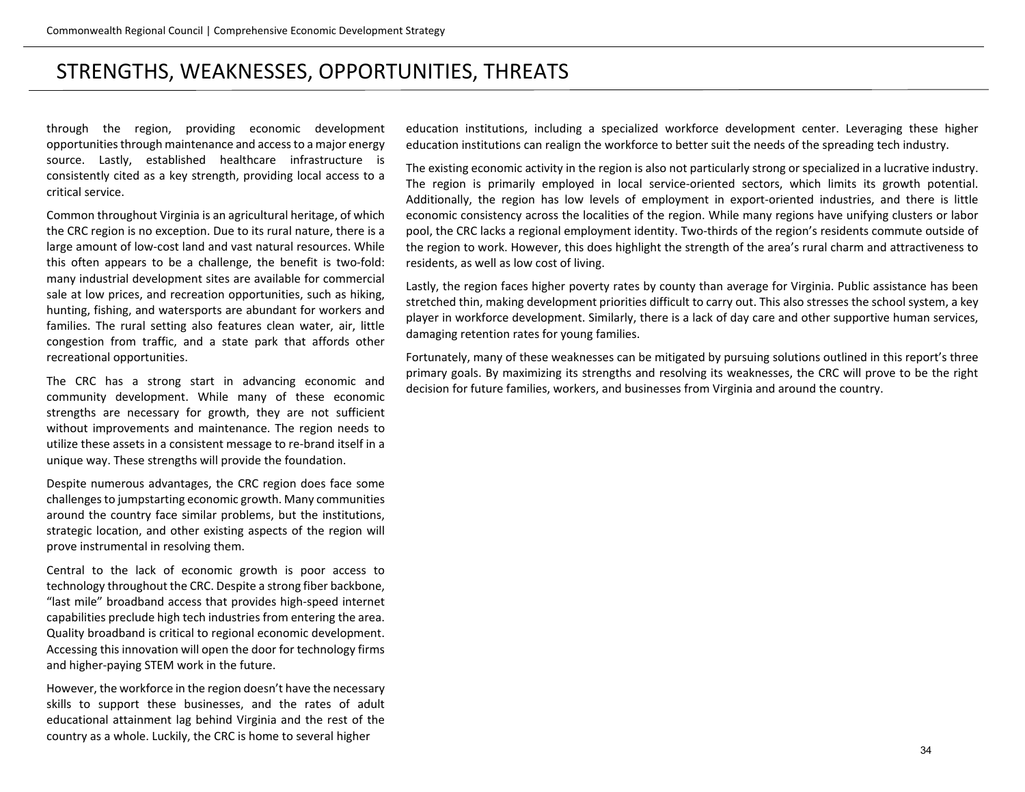through the region, providing economic development opportunities through maintenance and access to a major energy source. Lastly, established healthcare infrastructure is consistently cited as a key strength, providing local access to a critical service.

Common throughout Virginia is an agricultural heritage, of which the CRC region is no exception. Due to its rural nature, there is a large amount of low-cost land and vast natural resources. While this often appears to be a challenge, the benefit is two-fold: many industrial development sites are available for commercial sale at low prices, and recreation opportunities, such as hiking, hunting, fishing, and watersports are abundant for workers and families. The rural setting also features clean water, air, little congestion from traffic, and a state park that affords other recreational opportunities.

The CRC has a strong start in advancing economic and community development. While many of these economic strengths are necessary for growth, they are not sufficient without improvements and maintenance. The region needs to utilize these assets in a consistent message to re-brand itself in a unique way. These strengths will provide the foundation.

Despite numerous advantages, the CRC region does face some challenges to jumpstarting economic growth. Many communities around the country face similar problems, but the institutions, strategic location, and other existing aspects of the region will prove instrumental in resolving them.

Central to the lack of economic growth is poor access to technology throughout the CRC. Despite a strong fiber backbone, "last mile" broadband access that provides high-speed internet capabilities preclude high tech industries from entering the area. Quality broadband is critical to regional economic development. Accessing this innovation will open the door for technology firms and higher-paying STEM work in the future.

However, the workforce in the region doesn't have the necessary skills to support these businesses, and the rates of adult educational attainment lag behind Virginia and the rest of the country as a whole. Luckily, the CRC is home to several higher

education institutions, including a specialized workforce development center. Leveraging these higher education institutions can realign the workforce to better suit the needs of the spreading tech industry.

The existing economic activity in the region is also not particularly strong or specialized in a lucrative industry. The region is primarily employed in local service-oriented sectors, which limits its growth potential. Additionally, the region has low levels of employment in export-oriented industries, and there is little economic consistency across the localities of the region. While many regions have unifying clusters or labor pool, the CRC lacks a regional employment identity. Two-thirds of the region's residents commute outside of the region to work. However, this does highlight the strength of the area's rural charm and attractiveness to residents, as well as low cost of living.

Lastly, the region faces higher poverty rates by county than average for Virginia. Public assistance has been stretched thin, making development priorities difficult to carry out. This also stresses the school system, a key player in workforce development. Similarly, there is a lack of day care and other supportive human services, damaging retention rates for young families.

Fortunately, many of these weaknesses can be mitigated by pursuing solutions outlined in this report's three primary goals. By maximizing its strengths and resolving its weaknesses, the CRC will prove to be the right decision for future families, workers, and businesses from Virginia and around the country.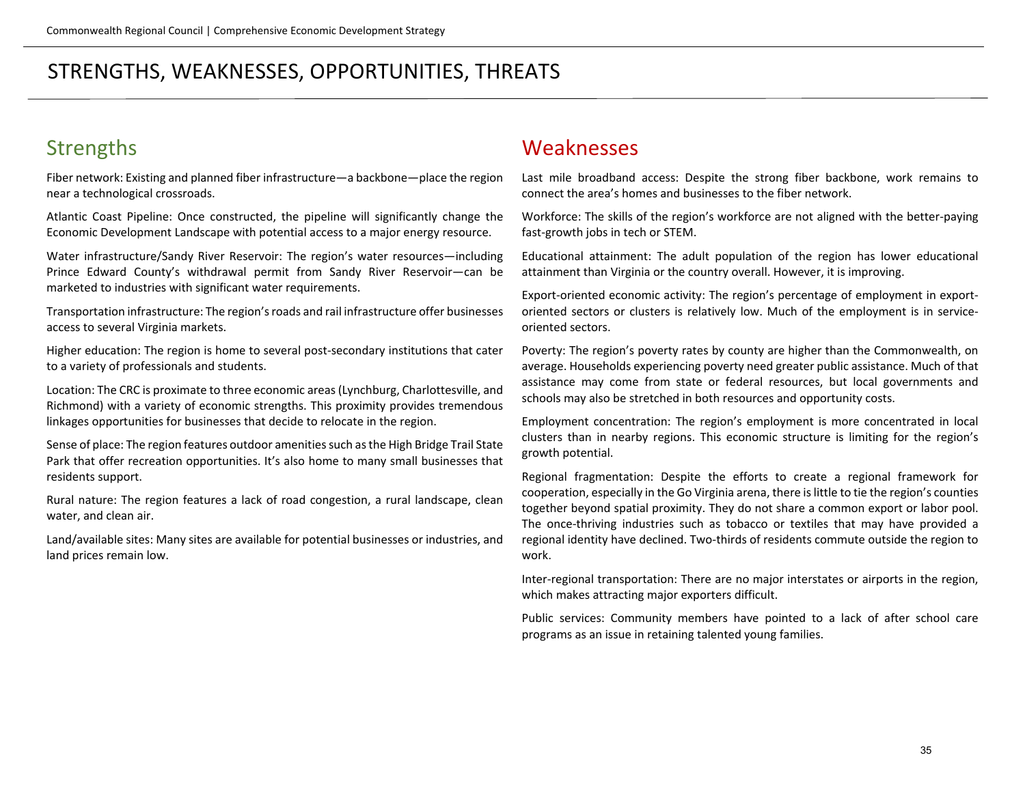### **Strengths**

Fiber network: Existing and planned fiber infrastructure—a backbone—place the region near a technological crossroads.

Atlantic Coast Pipeline: Once constructed, the pipeline will significantly change the Economic Development Landscape with potential access to a major energy resource.

Water infrastructure/Sandy River Reservoir: The region's water resources—including Prince Edward County's withdrawal permit from Sandy River Reservoir—can be marketed to industries with significant water requirements.

Transportation infrastructure: The region's roads and rail infrastructure offer businesses access to several Virginia markets.

Higher education: The region is home to several post-secondary institutions that cater to a variety of professionals and students.

Location: The CRC is proximate to three economic areas (Lynchburg, Charlottesville, and Richmond) with a variety of economic strengths. This proximity provides tremendous linkages opportunities for businesses that decide to relocate in the region.

Sense of place: The region features outdoor amenities such as the High Bridge Trail State Park that offer recreation opportunities. It's also home to many small businesses that residents support.

Rural nature: The region features a lack of road congestion, a rural landscape, clean water, and clean air.

Land/available sites: Many sites are available for potential businesses or industries, and land prices remain low.

#### Weaknesses

Last mile broadband access: Despite the strong fiber backbone, work remains to connect the area's homes and businesses to the fiber network.

Workforce: The skills of the region's workforce are not aligned with the better-paying fast-growth jobs in tech or STEM.

Educational attainment: The adult population of the region has lower educational attainment than Virginia or the country overall. However, it is improving.

Export-oriented economic activity: The region's percentage of employment in exportoriented sectors or clusters is relatively low. Much of the employment is in serviceoriented sectors.

Poverty: The region's poverty rates by county are higher than the Commonwealth, on average. Households experiencing poverty need greater public assistance. Much of that assistance may come from state or federal resources, but local governments and schools may also be stretched in both resources and opportunity costs.

Employment concentration: The region's employment is more concentrated in local clusters than in nearby regions. This economic structure is limiting for the region's growth potential.

Regional fragmentation: Despite the efforts to create a regional framework for cooperation, especially in the Go Virginia arena, there is little to tie the region's counties together beyond spatial proximity. They do not share a common export or labor pool. The once-thriving industries such as tobacco or textiles that may have provided a regional identity have declined. Two-thirds of residents commute outside the region to work.

Inter-regional transportation: There are no major interstates or airports in the region, which makes attracting major exporters difficult.

Public services: Community members have pointed to a lack of after school care programs as an issue in retaining talented young families.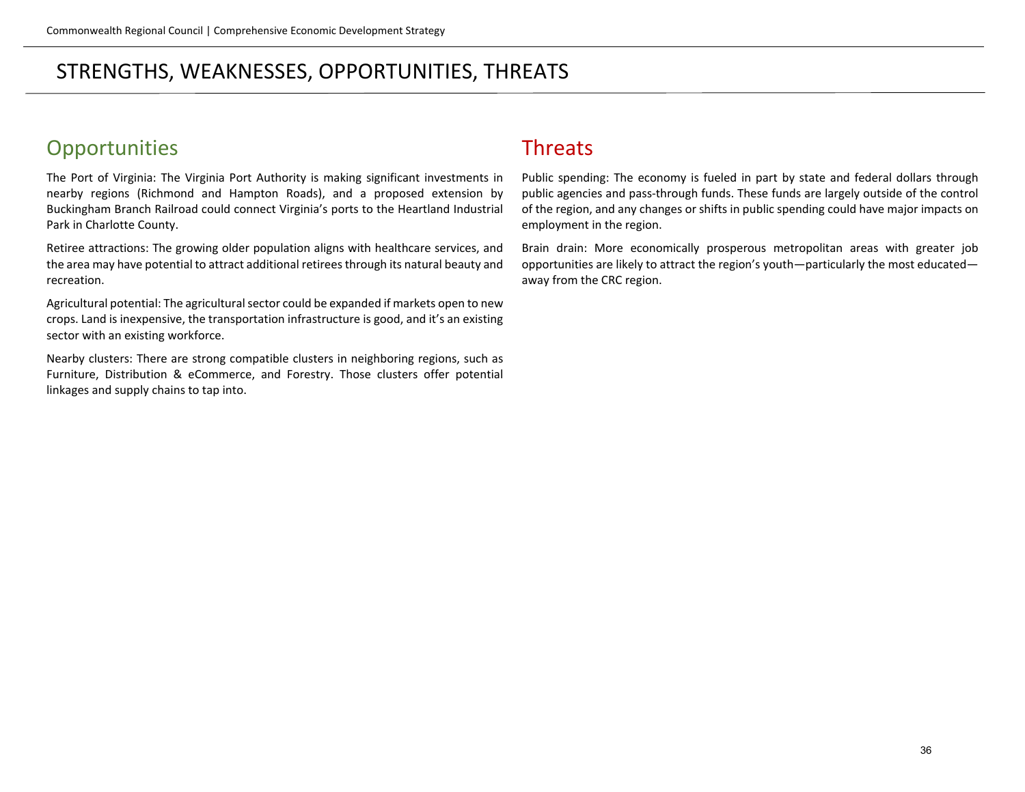# **Opportunities**

The Port of Virginia: The Virginia Port Authority is making significant investments in nearby regions (Richmond and Hampton Roads), and a proposed extension by Buckingham Branch Railroad could connect Virginia's ports to the Heartland Industrial Park in Charlotte County.

Retiree attractions: The growing older population aligns with healthcare services, and the area may have potential to attract additional retirees through its natural beauty and recreation.

Agricultural potential: The agricultural sector could be expanded if markets open to new crops. Land is inexpensive, the transportation infrastructure is good, and it's an existing sector with an existing workforce.

Nearby clusters: There are strong compatible clusters in neighboring regions, such as Furniture, Distribution & eCommerce, and Forestry. Those clusters offer potential linkages and supply chains to tap into.

#### Threats

Public spending: The economy is fueled in part by state and federal dollars through public agencies and pass-through funds. These funds are largely outside of the control of the region, and any changes or shifts in public spending could have major impacts on employment in the region.

Brain drain: More economically prosperous metropolitan areas with greater job opportunities are likely to attract the region's youth—particularly the most educated away from the CRC region.